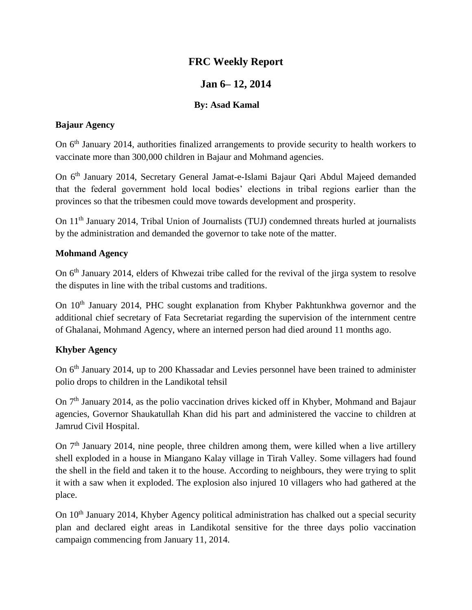# **FRC Weekly Report**

# **Jan 6– 12, 2014**

## **By: Asad Kamal**

#### **Bajaur Agency**

On 6<sup>th</sup> January 2014, authorities finalized arrangements to provide security to health workers to vaccinate more than 300,000 children in Bajaur and Mohmand agencies.

On 6th January 2014, Secretary General Jamat-e-Islami Bajaur Qari Abdul Majeed demanded that the federal government hold local bodies' elections in tribal regions earlier than the provinces so that the tribesmen could move towards development and prosperity.

On 11th January 2014, Tribal Union of Journalists (TUJ) condemned threats hurled at journalists by the administration and demanded the governor to take note of the matter.

#### **Mohmand Agency**

On 6<sup>th</sup> January 2014, elders of Khwezai tribe called for the revival of the jirga system to resolve the disputes in line with the tribal customs and traditions.

On 10<sup>th</sup> January 2014, PHC sought explanation from Khyber Pakhtunkhwa governor and the additional chief secretary of Fata Secretariat regarding the supervision of the internment centre of Ghalanai, Mohmand Agency, where an interned person had died around 11 months ago.

# **Khyber Agency**

On 6<sup>th</sup> January 2014, up to 200 Khassadar and Levies personnel have been trained to administer polio drops to children in the Landikotal tehsil

On 7<sup>th</sup> January 2014, as the polio vaccination drives kicked off in Khyber, Mohmand and Bajaur agencies, Governor Shaukatullah Khan did his part and administered the vaccine to children at Jamrud Civil Hospital.

On 7<sup>th</sup> January 2014, nine people, three children among them, were killed when a live artillery shell exploded in a house in Miangano Kalay village in Tirah Valley. Some villagers had found the shell in the field and taken it to the house. According to neighbours, they were trying to split it with a saw when it exploded. The explosion also injured 10 villagers who had gathered at the place.

On 10<sup>th</sup> January 2014, Khyber Agency political administration has chalked out a special security plan and declared eight areas in Landikotal sensitive for the three days polio vaccination campaign commencing from January 11, 2014.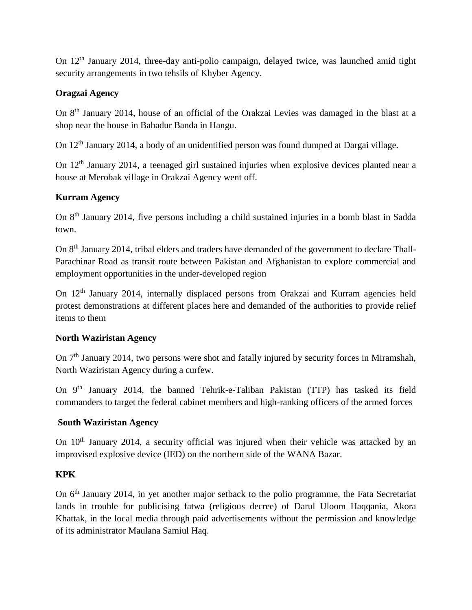On 12th January 2014, three-day anti-polio campaign, delayed twice, was launched amid tight security arrangements in two tehsils of Khyber Agency.

## **Oragzai Agency**

On 8th January 2014, house of an official of the Orakzai Levies was damaged in the blast at a shop near the house in Bahadur Banda in Hangu.

On 12th January 2014, a body of an unidentified person was found dumped at Dargai village.

On 12th January 2014, a teenaged girl sustained injuries when explosive devices planted near a house at Merobak village in Orakzai Agency went off.

## **Kurram Agency**

On 8th January 2014, five persons including a child sustained injuries in a bomb blast in Sadda town.

On 8th January 2014, tribal elders and traders have demanded of the government to declare Thall-Parachinar Road as transit route between Pakistan and Afghanistan to explore commercial and employment opportunities in the under-developed region

On 12<sup>th</sup> January 2014, internally displaced persons from Orakzai and Kurram agencies held protest demonstrations at different places here and demanded of the authorities to provide relief items to them

#### **North Waziristan Agency**

On 7<sup>th</sup> January 2014, two persons were shot and fatally injured by security forces in Miramshah, North Waziristan Agency during a curfew.

On 9<sup>th</sup> January 2014, the banned Tehrik-e-Taliban Pakistan (TTP) has tasked its field commanders to target the federal cabinet members and high-ranking officers of the armed forces

#### **South Waziristan Agency**

On 10<sup>th</sup> January 2014, a security official was injured when their vehicle was attacked by an improvised explosive device (IED) on the northern side of the WANA Bazar.

# **KPK**

On 6<sup>th</sup> January 2014, in yet another major setback to the polio programme, the Fata Secretariat lands in trouble for publicising fatwa (religious decree) of Darul Uloom Haqqania, Akora Khattak, in the local media through paid advertisements without the permission and knowledge of its administrator Maulana Samiul Haq.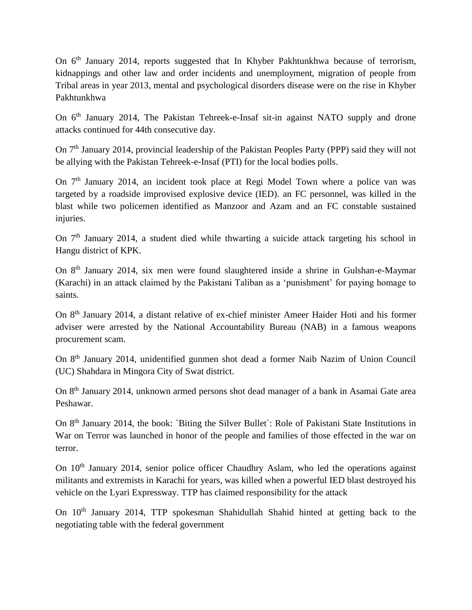On 6<sup>th</sup> January 2014, reports suggested that In Khyber Pakhtunkhwa because of terrorism, kidnappings and other law and order incidents and unemployment, migration of people from Tribal areas in year 2013, mental and psychological disorders disease were on the rise in Khyber Pakhtunkhwa

On 6<sup>th</sup> January 2014, The Pakistan Tehreek-e-Insaf sit-in against NATO supply and drone attacks continued for 44th consecutive day.

On 7<sup>th</sup> January 2014, provincial leadership of the Pakistan Peoples Party (PPP) said they will not be allying with the Pakistan Tehreek-e-Insaf (PTI) for the local bodies polls.

On  $7<sup>th</sup>$  January 2014, an incident took place at Regi Model Town where a police van was targeted by a roadside improvised explosive device (IED). an FC personnel, was killed in the blast while two policemen identified as Manzoor and Azam and an FC constable sustained injuries.

On  $7<sup>th</sup>$  January 2014, a student died while thwarting a suicide attack targeting his school in Hangu district of KPK.

On 8th January 2014, six men were found slaughtered inside a shrine in Gulshan-e-Maymar (Karachi) in an attack claimed by the Pakistani Taliban as a 'punishment' for paying homage to saints.

On 8th January 2014, a distant relative of ex-chief minister Ameer Haider Hoti and his former adviser were arrested by the National Accountability Bureau (NAB) in a famous weapons procurement scam.

On 8th January 2014, unidentified gunmen shot dead a former Naib Nazim of Union Council (UC) Shahdara in Mingora City of Swat district.

On 8<sup>th</sup> January 2014, unknown armed persons shot dead manager of a bank in Asamai Gate area Peshawar.

On 8th January 2014, the book: `Biting the Silver Bullet`: Role of Pakistani State Institutions in War on Terror was launched in honor of the people and families of those effected in the war on terror.

On  $10<sup>th</sup>$  January 2014, senior police officer Chaudhry Aslam, who led the operations against militants and extremists in Karachi for years, was killed when a powerful IED blast destroyed his vehicle on the Lyari Expressway. TTP has claimed responsibility for the attack

On 10th January 2014, TTP spokesman Shahidullah Shahid hinted at getting back to the negotiating table with the federal government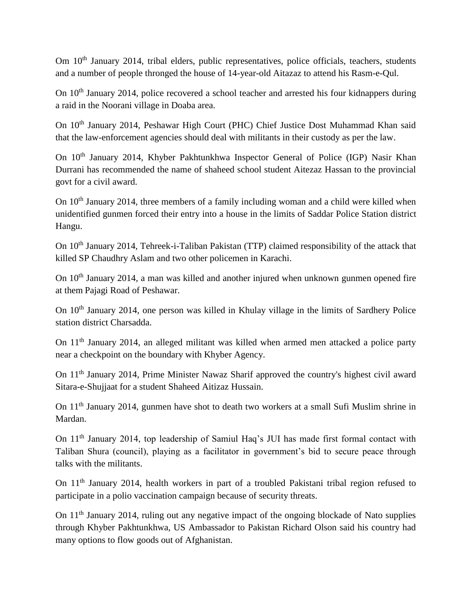Om  $10<sup>th</sup>$  January 2014, tribal elders, public representatives, police officials, teachers, students and a number of people thronged the house of 14-year-old Aitazaz to attend his Rasm-e-Qul.

On 10<sup>th</sup> January 2014, police recovered a school teacher and arrested his four kidnappers during a raid in the Noorani village in Doaba area.

On 10<sup>th</sup> January 2014, Peshawar High Court (PHC) Chief Justice Dost Muhammad Khan said that the law-enforcement agencies should deal with militants in their custody as per the law.

On 10<sup>th</sup> January 2014, Khyber Pakhtunkhwa Inspector General of Police (IGP) Nasir Khan Durrani has recommended the name of shaheed school student Aitezaz Hassan to the provincial govt for a civil award.

On  $10<sup>th</sup>$  January 2014, three members of a family including woman and a child were killed when unidentified gunmen forced their entry into a house in the limits of Saddar Police Station district Hangu.

On 10<sup>th</sup> January 2014, Tehreek-i-Taliban Pakistan (TTP) claimed responsibility of the attack that killed SP Chaudhry Aslam and two other policemen in Karachi.

On  $10<sup>th</sup>$  January 2014, a man was killed and another injured when unknown gunmen opened fire at them Pajagi Road of Peshawar.

On 10<sup>th</sup> January 2014, one person was killed in Khulay village in the limits of Sardhery Police station district Charsadda.

On 11th January 2014, an alleged militant was killed when armed men attacked a police party near a checkpoint on the boundary with Khyber Agency.

On 11th January 2014, Prime Minister Nawaz Sharif approved the country's highest civil award Sitara-e-Shujjaat for a student Shaheed Aitizaz Hussain.

On 11th January 2014, gunmen have shot to death two workers at a small Sufi Muslim shrine in Mardan.

On 11th January 2014, top leadership of Samiul Haq's JUI has made first formal contact with Taliban Shura (council), playing as a facilitator in government's bid to secure peace through talks with the militants.

On 11th January 2014, health workers in part of a troubled Pakistani tribal region refused to participate in a polio vaccination campaign because of security threats.

On 11<sup>th</sup> January 2014, ruling out any negative impact of the ongoing blockade of Nato supplies through Khyber Pakhtunkhwa, US Ambassador to Pakistan Richard Olson said his country had many options to flow goods out of Afghanistan.